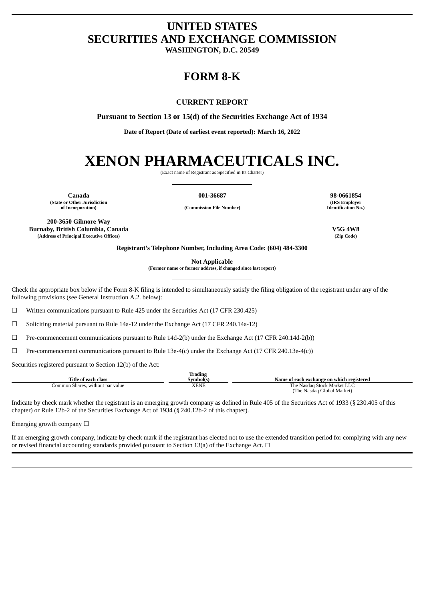# **UNITED STATES SECURITIES AND EXCHANGE COMMISSION**

**WASHINGTON, D.C. 20549**

## **FORM 8-K**

### **CURRENT REPORT**

**Pursuant to Section 13 or 15(d) of the Securities Exchange Act of 1934**

**Date of Report (Date of earliest event reported): March 16, 2022**

# **XENON PHARMACEUTICALS INC.**

(Exact name of Registrant as Specified in Its Charter)

**(State or Other Jurisdiction**

**of Incorporation) (Commission File Number)**

**Canada 001-36687 98-0661854 (IRS Employer Identification No.)**

**200-3650 Gilmore Way Burnaby, British Columbia, Canada V5G 4W8 (Address of Principal Executive Offices) (Zip Code)**

**Registrant's Telephone Number, Including Area Code: (604) 484-3300**

**Not Applicable**

**(Former name or former address, if changed since last report)**

Check the appropriate box below if the Form 8-K filing is intended to simultaneously satisfy the filing obligation of the registrant under any of the following provisions (see General Instruction A.2. below):

 $\Box$  Written communications pursuant to Rule 425 under the Securities Act (17 CFR 230.425)

☐ Soliciting material pursuant to Rule 14a-12 under the Exchange Act (17 CFR 240.14a-12)

☐ Pre-commencement communications pursuant to Rule 14d-2(b) under the Exchange Act (17 CFR 240.14d-2(b))

 $\Box$  Pre-commencement communications pursuant to Rule 13e-4(c) under the Exchange Act (17 CFR 240.13e-4(c))

Securities registered pursuant to Section 12(b) of the Act:

|                                  | Trading     |                                           |
|----------------------------------|-------------|-------------------------------------------|
| Title of each class              | Svmbol(s)   | Name of each exchange on which registered |
| Common Shares, without par value | <b>XENE</b> | The Nasdag Stock Market LLC               |
|                                  |             | (The Nasdaq Global Market)                |

Indicate by check mark whether the registrant is an emerging growth company as defined in Rule 405 of the Securities Act of 1933 (§ 230.405 of this chapter) or Rule 12b-2 of the Securities Exchange Act of 1934 (§ 240.12b-2 of this chapter).

Emerging growth company  $\Box$ 

If an emerging growth company, indicate by check mark if the registrant has elected not to use the extended transition period for complying with any new or revised financial accounting standards provided pursuant to Section 13(a) of the Exchange Act.  $\Box$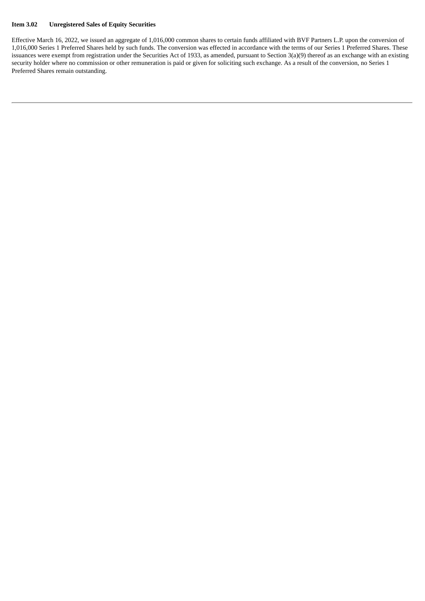### **Item 3.02 Unregistered Sales of Equity Securities**

Effective March 16, 2022, we issued an aggregate of 1,016,000 common shares to certain funds affiliated with BVF Partners L.P. upon the conversion of 1,016,000 Series 1 Preferred Shares held by such funds. The conversion was effected in accordance with the terms of our Series 1 Preferred Shares. These issuances were exempt from registration under the Securities Act of 1933, as amended, pursuant to Section 3(a)(9) thereof as an exchange with an existing security holder where no commission or other remuneration is paid or given for soliciting such exchange. As a result of the conversion, no Series 1 Preferred Shares remain outstanding.